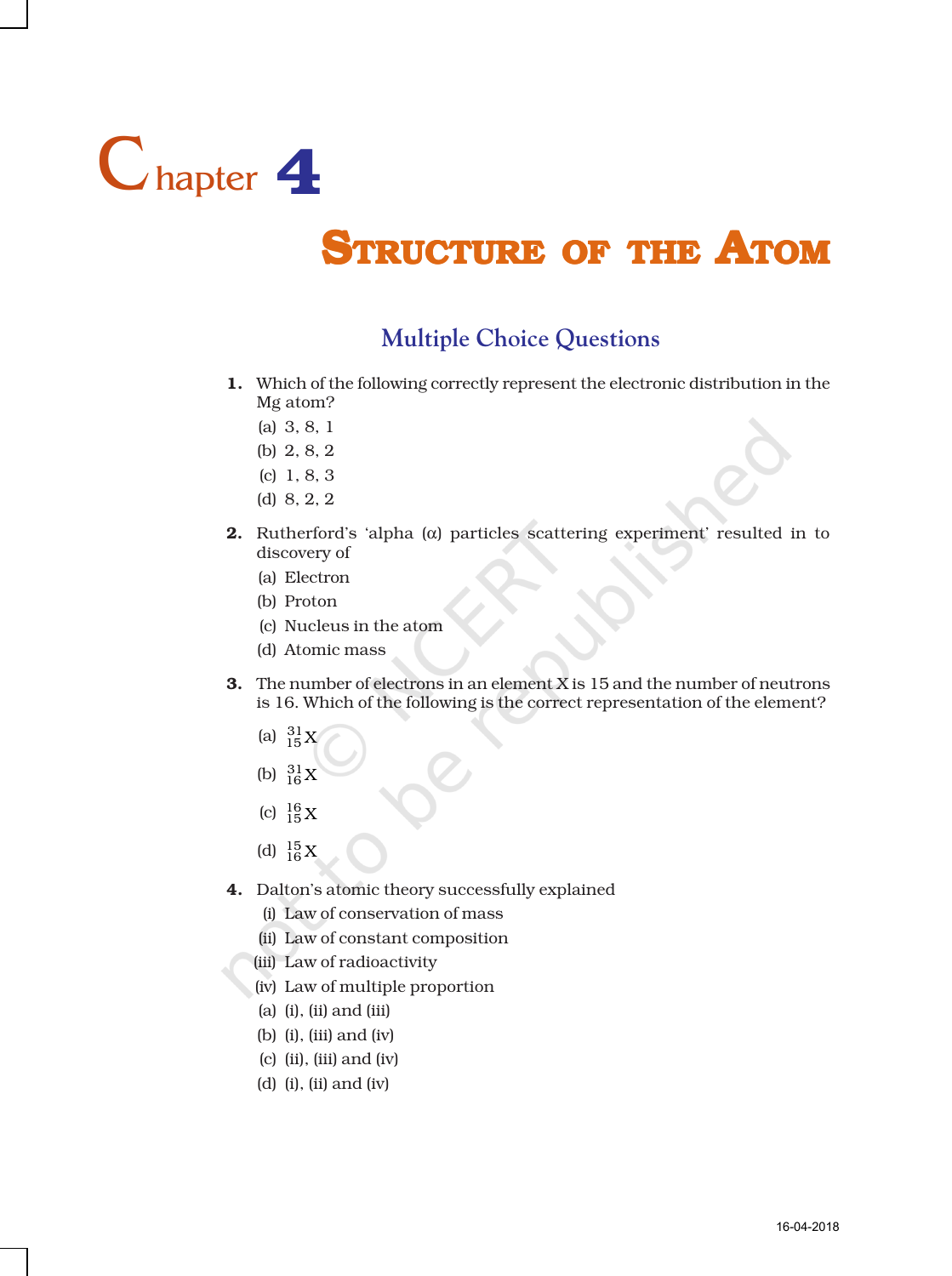

## **STRUCTURE OF THE ATOM**

## **Multiple Choice Questions**

- 1. Which of the following correctly represent the electronic distribution in the Mg atom?
	- (a) 3, 8, 1
	- (b) 2, 8, 2
	- (c) 1, 8, 3
	- (d) 8, 2, 2
- **2.** Rutherford's 'alpha ( $\alpha$ ) particles scattering experiment' resulted in to discovery of
	- (a) Electron
	- (b) Proton
	- (c) Nucleus in the atom
	- (d) Atomic mass
- **3.** The number of electrons in an element X is  $15$  and the number of neutrons is 16. Which of the following is the correct representation of the element?
	- (a)  $^{31}_{15}$ X
	- (b)  $^{31}_{16}$ X
	- (c)  $^{16}_{15}$  X
	- (d)  $^{15}_{16}$  X
- 4. Dalton's atomic theory successfully explained
	- (i) Law of conservation of mass
	- (ii) Law of constant composition
	- (iii) Law of radioactivity
	- (iv) Law of multiple proportion
	- (a) (i), (ii) and (iii)
	- (b) (i), (iii) and (iv)
	- (c) (ii), (iii) and (iv)
	- (d) (i), (ii) and (iv)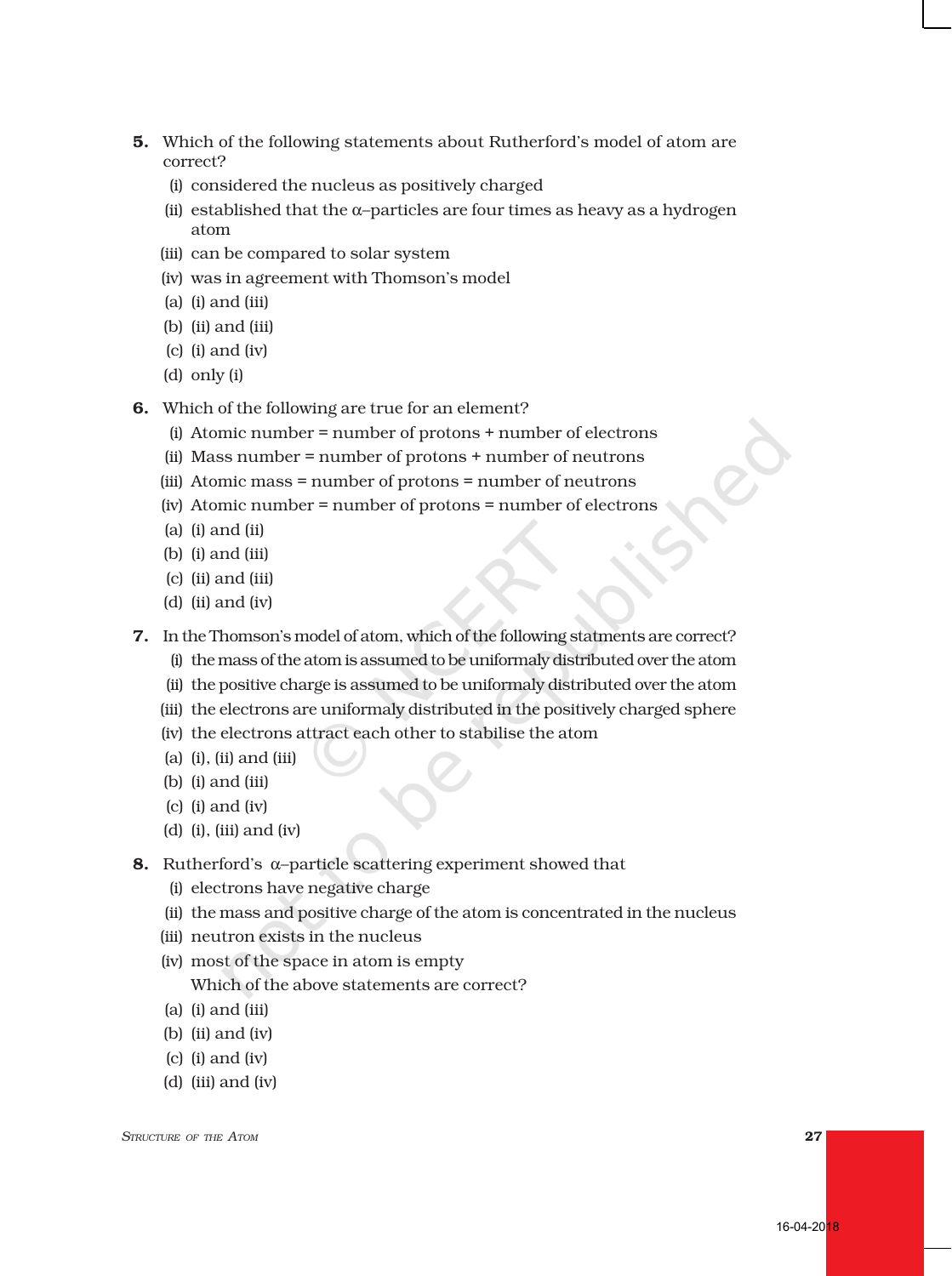- 5. Which of the following statements about Rutherford's model of atom are correct?
	- (i) considered the nucleus as positively charged
	- (ii) established that the  $\alpha$ -particles are four times as heavy as a hydrogen atom
	- (iii) can be compared to solar system
	- (iv) was in agreement with Thomson's model
	- (a) (i) and (iii)
	- (b) (ii) and (iii)
	- (c) (i) and (iv)
	- (d) only (i)
- 6. Which of the following are true for an element?
	- (i) Atomic number = number of protons + number of electrons
	- (ii) Mass number = number of protons + number of neutrons
	- (iii) Atomic mass = number of protons = number of neutrons
	- (iv) Atomic number = number of protons = number of electrons
	- (a) (i) and (ii)
	- (b) (i) and (iii)
	- (c) (ii) and (iii)
	- (d) (ii) and (iv)
- 7. In the Thomson's model of atom, which of the following statments are correct?
	- (i) the mass of the atom is assumed to be uniformaly distributed over the atom
	- (ii) the positive charge is assumed to be uniformaly distributed over the atom
	- (iii) the electrons are uniformaly distributed in the positively charged sphere
	- (iv) the electrons attract each other to stabilise the atom
	- (a) (i), (ii) and (iii)
	- (b) (i) and (iii)
	- (c) (i) and (iv)
	- (d) (i), (iii) and (iv)
- 8. Rutherford's α–particle scattering experiment showed that
	- (i) electrons have negative charge
	- (ii) the mass and positive charge of the atom is concentrated in the nucleus
	- (iii) neutron exists in the nucleus
	- (iv) most of the space in atom is empty Which of the above statements are correct?
	- (a) (i) and (iii)
	- (b) (ii) and (iv)
	- (c) (i) and (iv)
	- (d) (iii) and (iv)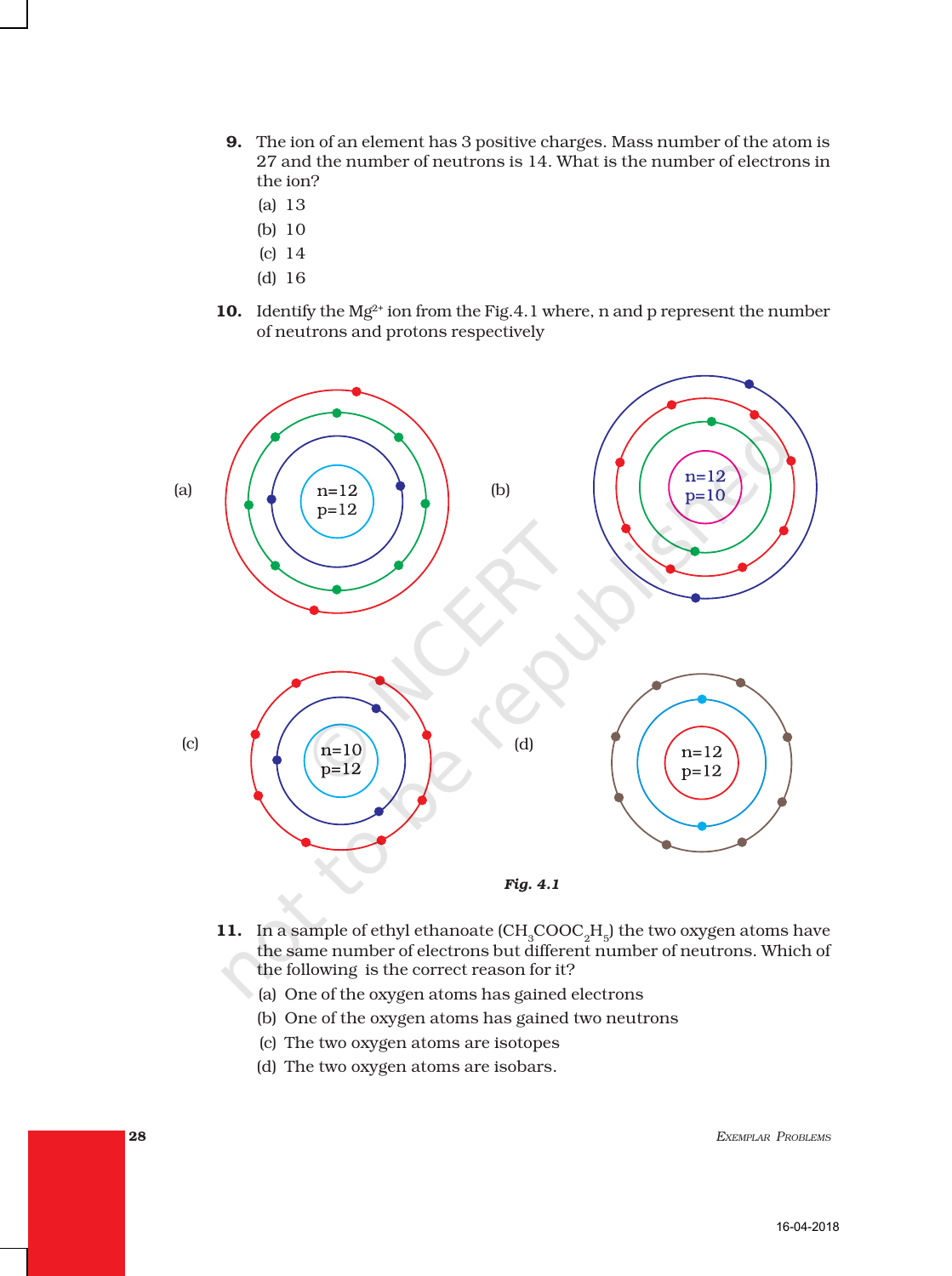- 9. The ion of an element has 3 positive charges. Mass number of the atom is 27 and the number of neutrons is 14. What is the number of electrons in the ion?
	- (a) 13
	- (b) 10
	- (c) 14
	- (d) 16
- 10. Identify the  $Mg^{2+}$  ion from the Fig.4.1 where, n and p represent the number of neutrons and protons respectively



- 11. In a sample of ethyl ethanoate  $(CH_{\alpha}COOC_{\beta}H_{\beta})$  the two oxygen atoms have the same number of electrons but different number of neutrons. Which of the following is the correct reason for it?
	- (a) One of the oxygen atoms has gained electrons
	- (b) One of the oxygen atoms has gained two neutrons
	- (c) The two oxygen atoms are isotopes
	- (d) The two oxygen atoms are isobars.

28 *EXEMPLAR PROBLEMS*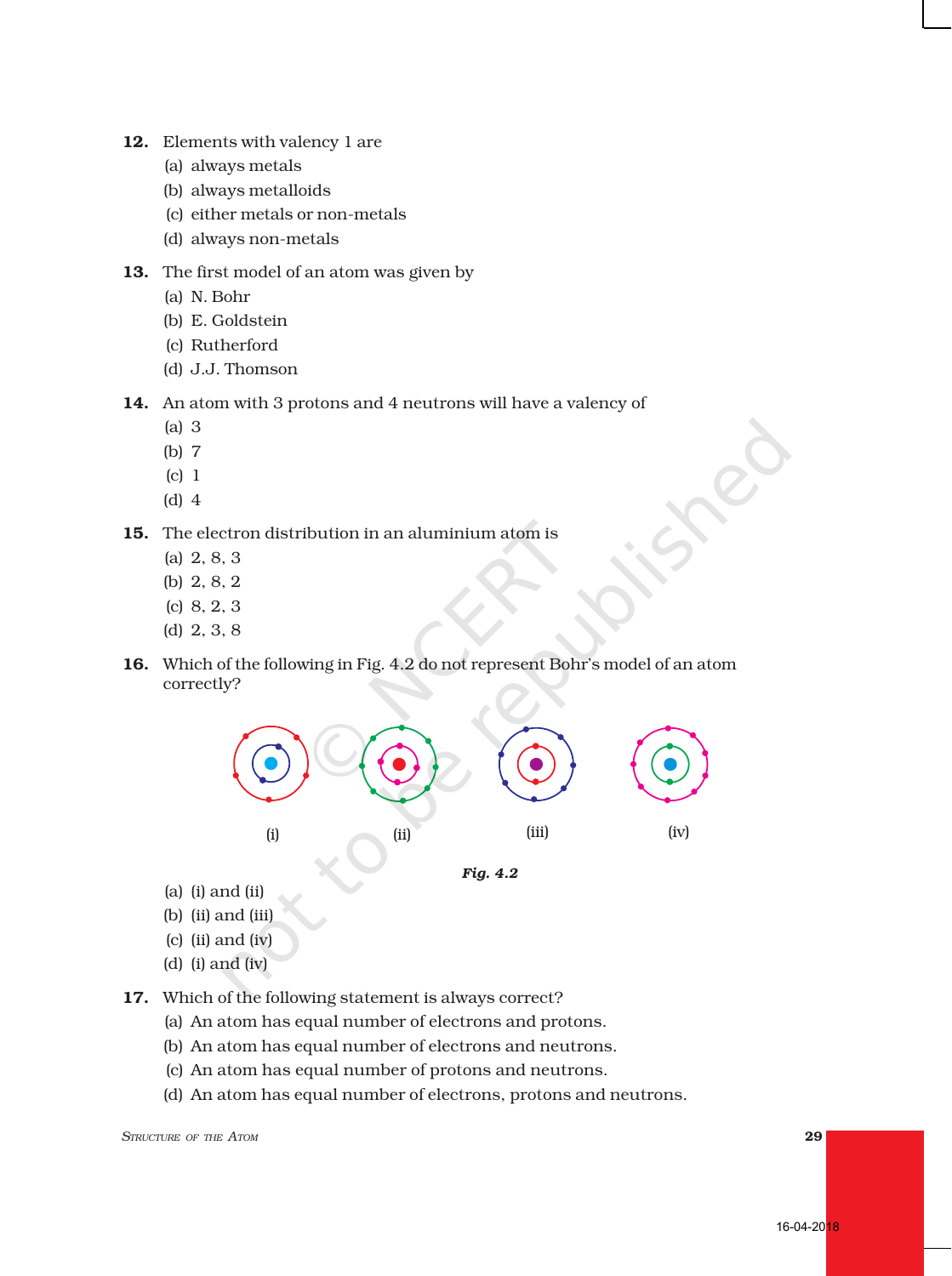- 12. Elements with valency 1 are
	- (a) always metals
	- (b) always metalloids
	- (c) either metals or non-metals
	- (d) always non-metals
- 13. The first model of an atom was given by
	- (a) N. Bohr
	- (b) E. Goldstein
	- (c) Rutherford
	- (d) J.J. Thomson
- 14. An atom with 3 protons and 4 neutrons will have a valency of
	- (a) 3
	- (b) 7
	- (c) 1
	- (d) 4
- 15. The electron distribution in an aluminium atom is
	- (a) 2, 8, 3
	- (b) 2, 8, 2
	- (c) 8, 2, 3
	- (d) 2, 3, 8
- 16. Which of the following in Fig. 4.2 do not represent Bohr's model of an atom correctly?



- (a) (i) and (ii)
- (b) (ii) and (iii)
- (c) (ii) and (iv)
- (d) (i) and (iv)
- 17. Which of the following statement is always correct?
	- (a) An atom has equal number of electrons and protons.
	- (b) An atom has equal number of electrons and neutrons.
	- (c) An atom has equal number of protons and neutrons.
	- (d) An atom has equal number of electrons, protons and neutrons.

*STRUCTURE OF THE ATOM* 29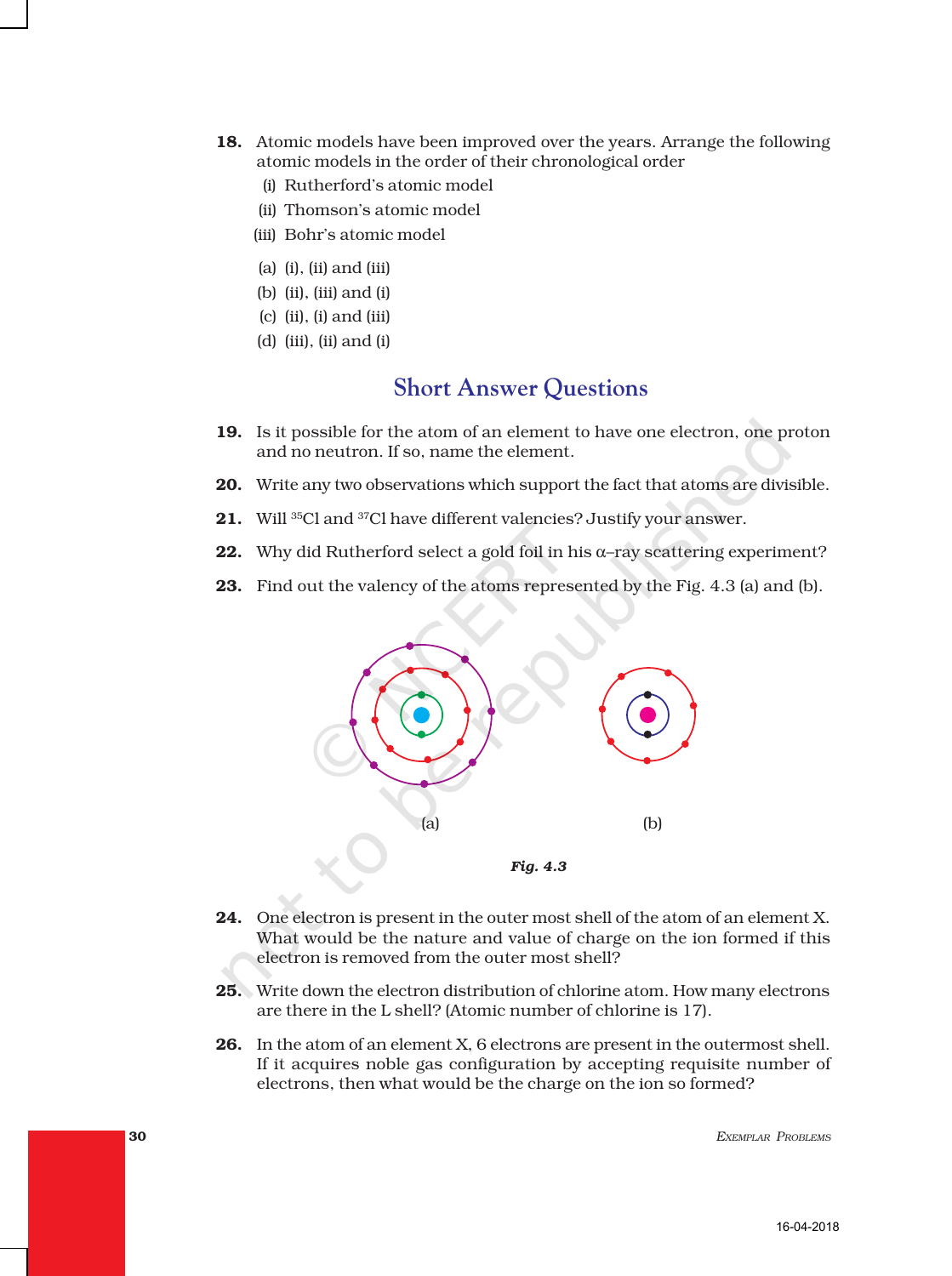- 18. Atomic models have been improved over the years. Arrange the following atomic models in the order of their chronological order
	- (i) Rutherford's atomic model
	- (ii) Thomson's atomic model
	- (iii) Bohr's atomic model
	- (a) (i), (ii) and (iii)
	- (b) (ii), (iii) and (i)
	- (c) (ii), (i) and (iii)
	- (d) (iii), (ii) and (i)

## **Short Answer Questions**

- 19. Is it possible for the atom of an element to have one electron, one proton and no neutron. If so, name the element.
- 20. Write any two observations which support the fact that atoms are divisible.
- 21. Will <sup>35</sup>Cl and <sup>37</sup>Cl have different valencies? Justify your answer.
- **22.** Why did Rutherford select a gold foil in his  $\alpha$ -ray scattering experiment?
- 23. Find out the valency of the atoms represented by the Fig. 4.3 (a) and (b).



- 24. One electron is present in the outer most shell of the atom of an element X. What would be the nature and value of charge on the ion formed if this electron is removed from the outer most shell?
- 25. Write down the electron distribution of chlorine atom. How many electrons are there in the L shell? (Atomic number of chlorine is 17).
- 26. In the atom of an element X, 6 electrons are present in the outermost shell. If it acquires noble gas configuration by accepting requisite number of electrons, then what would be the charge on the ion so formed?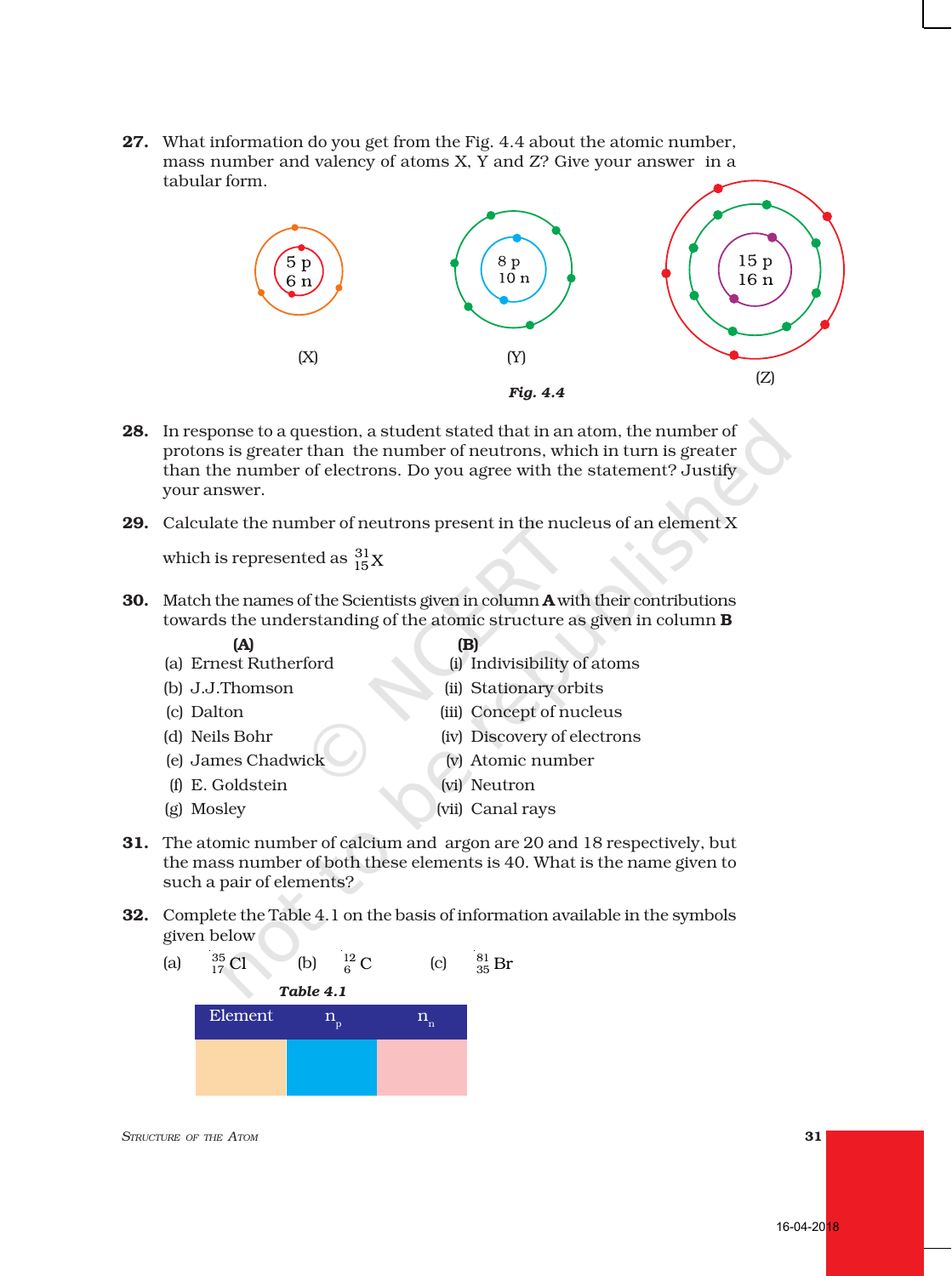16-04-2018

27. What information do you get from the Fig. 4.4 about the atomic number, mass number and valency of atoms X, Y and Z? Give your answer in a tabular form.



- 28. In response to a question, a student stated that in an atom, the number of protons is greater than the number of neutrons, which in turn is greater than the number of electrons. Do you agree with the statement? Justify your answer.
- **29.** Calculate the number of neutrons present in the nucleus of an element X

which is represented as  $\frac{31}{15}X$ 

30. Match the names of the Scientists given in column **A** with their contributions towards the understanding of the atomic structure as given in column B

- $(A)$  (B) (a) Ernest Rutherford (i) Indivisibility of atoms
	-
	-
- (b) J.J.Thomson (ii) Stationary orbits
- (c) Dalton (iii) Concept of nucleus
- 
- (e) James Chadwick (v) Atomic number
- (d) Neils Bohr (iv) Discovery of electrons
	-
- (f) E. Goldstein (vi) Neutron
- (g) Mosley (vii) Canal rays
- 
- 31. The atomic number of calcium and argon are 20 and 18 respectively, but the mass number of both these elements is 40. What is the name given to such a pair of elements?
- 32. Complete the Table 4.1 on the basis of information available in the symbols given below